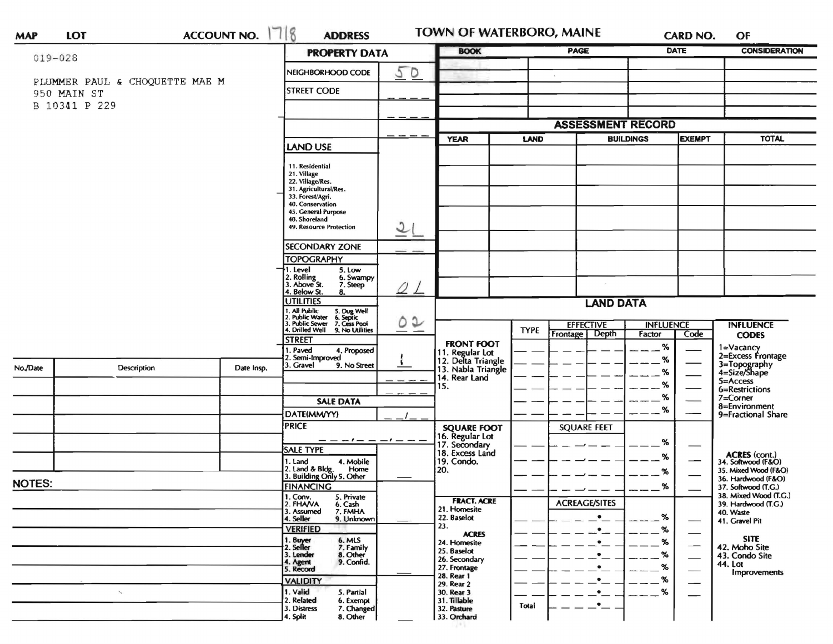| <b>MAP</b>                                                          | <b>LOT</b>          |  | ACCOUNT NO. 1718                                                                                                                                                                       | <b>ADDRESS</b>                                                                              |                    | <b>TOWN OF WATERBORO, MAINE</b><br><b>BOOK</b>                                   |                                      |                          |                     | CARD NO.              | OF                                                                             |
|---------------------------------------------------------------------|---------------------|--|----------------------------------------------------------------------------------------------------------------------------------------------------------------------------------------|---------------------------------------------------------------------------------------------|--------------------|----------------------------------------------------------------------------------|--------------------------------------|--------------------------|---------------------|-----------------------|--------------------------------------------------------------------------------|
| $019 - 028$                                                         |                     |  |                                                                                                                                                                                        | <b>PROPERTY DATA</b>                                                                        |                    |                                                                                  | PAGE                                 |                          | <b>DATE</b>         | <b>CONSIDERATION</b>  |                                                                                |
|                                                                     |                     |  |                                                                                                                                                                                        | NEIGHBORHOOD CODE                                                                           | 5D                 |                                                                                  |                                      | $\tilde{\phantom{a}}$    |                     |                       |                                                                                |
| PLUMMER PAUL & CHOQUETTE MAE M<br><b>STREET CODE</b><br>950 MAIN ST |                     |  |                                                                                                                                                                                        |                                                                                             |                    |                                                                                  |                                      |                          |                     |                       |                                                                                |
|                                                                     | B 10341 P 229       |  |                                                                                                                                                                                        |                                                                                             |                    |                                                                                  |                                      |                          |                     |                       |                                                                                |
|                                                                     |                     |  |                                                                                                                                                                                        |                                                                                             |                    |                                                                                  |                                      | <b>ASSESSMENT RECORD</b> |                     |                       |                                                                                |
|                                                                     |                     |  |                                                                                                                                                                                        |                                                                                             |                    | <b>YEAR</b>                                                                      | LAND                                 |                          | <b>BUILDINGS</b>    | <b>EXEMPT</b>         | <b>TOTAL</b>                                                                   |
|                                                                     |                     |  |                                                                                                                                                                                        | <b>LAND USE</b>                                                                             |                    |                                                                                  |                                      |                          |                     |                       |                                                                                |
|                                                                     |                     |  | 11. Residential<br>21. Village<br>22. Village/Res.<br>31. Agricultural/Res.<br>33. Forest/Agri.<br>40. Conservation<br>45. General Purpose<br>48. Shoreland<br>49. Resource Protection | $\mathfrak o$                                                                               |                    |                                                                                  |                                      |                          |                     |                       |                                                                                |
|                                                                     |                     |  |                                                                                                                                                                                        | <b>SECONDARY ZONE</b>                                                                       |                    |                                                                                  |                                      |                          |                     |                       |                                                                                |
|                                                                     |                     |  |                                                                                                                                                                                        | <b>TOPOGRAPHY</b>                                                                           |                    |                                                                                  |                                      |                          |                     |                       |                                                                                |
|                                                                     |                     |  |                                                                                                                                                                                        | . Level<br>5. Low<br>2. Rolling<br>3. Above St.<br>6. Swampy<br>7. Steep<br>Below St.<br>8. | QL                 |                                                                                  |                                      |                          |                     |                       |                                                                                |
|                                                                     |                     |  | <b>UTILITIES</b><br>1, All Public<br>2, Public Water<br>3, Public Sewer<br>5. Dug Well<br>6. Septic<br>7. Cess Pool<br>4. Drilled Well 9. No Utilities                                 | $\circ\circ$                                                                                | <b>LAND DATA</b>   |                                                                                  |                                      |                          |                     |                       |                                                                                |
|                                                                     |                     |  |                                                                                                                                                                                        |                                                                                             |                    | <b>TYPE</b>                                                                      | <b>EFFECTIVE</b><br><b>INFLUENCE</b> |                          |                     | <b>INFLUENCE</b>      |                                                                                |
| No./Date                                                            | <b>Description</b>  |  | Date Insp.                                                                                                                                                                             | <b>STREET</b><br>I. Paved<br>4. Proposed<br>2. Semi-Improved<br>3. Gravel<br>9. No Street   |                    | <b>FRONT FOOT</b><br>11. Regular Lot<br>12. Delta Triangle<br>13. Nabla Triangle |                                      | Depth<br>Frontage        | Factor<br>$\%$<br>% | Code                  | <b>CODES</b><br>1=Vacancy<br>2=Excess Frontage<br>3=Topography<br>4=Size/Shape |
|                                                                     |                     |  |                                                                                                                                                                                        |                                                                                             |                    | 14. Rear Land                                                                    |                                      |                          | %                   |                       | $5 =$ Access                                                                   |
|                                                                     |                     |  |                                                                                                                                                                                        |                                                                                             |                    | 15.                                                                              |                                      |                          | %<br>%              |                       | 6=Restrictions<br>7=Corner                                                     |
|                                                                     |                     |  |                                                                                                                                                                                        | <b>SALE DATA</b>                                                                            |                    |                                                                                  |                                      |                          | %                   |                       | 8=Environment<br>9=Fractional Share                                            |
|                                                                     |                     |  |                                                                                                                                                                                        | DATE(MM/YY)<br><b>PRICE</b>                                                                 |                    |                                                                                  |                                      | <b>SQUARE FEET</b>       | %                   |                       |                                                                                |
|                                                                     |                     |  |                                                                                                                                                                                        | — — — 1 — — — 1 — —                                                                         |                    | <b>SQUARE FOOT</b><br>16. Regular Lot                                            |                                      |                          |                     |                       |                                                                                |
|                                                                     |                     |  |                                                                                                                                                                                        | <b>SALE TYPE</b>                                                                            |                    | 18. Excess Land                                                                  |                                      |                          | %                   |                       |                                                                                |
|                                                                     |                     |  |                                                                                                                                                                                        | 4. Mobile<br>1. Land<br>2. Land & Bldg.<br>Home                                             |                    | 19. Condo.<br>20.                                                                |                                      |                          | %                   |                       | ACRES (cont.)<br>34. Softwood (F&O)<br>35. Mixed Wood (F&O)                    |
| <b>NOTES:</b>                                                       |                     |  |                                                                                                                                                                                        | 3. Building Only 5. Other<br><b>FINANCING</b>                                               |                    |                                                                                  |                                      |                          |                     |                       | 36. Hardwood (F&O)<br>37. Softwood (T.G.)                                      |
|                                                                     |                     |  | 1. Conv.<br>5. Private                                                                                                                                                                 |                                                                                             | <b>FRACT. ACRE</b> |                                                                                  |                                      | %                        |                     | 38. Mixed Wood (T.C.) |                                                                                |
|                                                                     |                     |  |                                                                                                                                                                                        | 2. FHAVA<br>6. Cash<br>3. Assumed<br>7. FMHA                                                |                    | 21. Homesite                                                                     |                                      | <b>ACREAGE/SITES</b>     |                     |                       | 39. Hardwood (T.G.)<br>40. Waste                                               |
|                                                                     |                     |  |                                                                                                                                                                                        | 4. Seller<br>9. Unknown<br><b>VERIFIED</b>                                                  |                    | 22. Baselot<br>23.                                                               |                                      | $\bullet$<br>$\bullet$   | %<br>%              |                       | 41. Gravel Pit                                                                 |
|                                                                     |                     |  |                                                                                                                                                                                        | 1. Buyer<br>2. Seller<br>6. MLS                                                             |                    | <b>ACRES</b><br>24. Homesite                                                     |                                      | $\cdot$                  | %                   |                       | <b>SITE</b>                                                                    |
|                                                                     |                     |  |                                                                                                                                                                                        | 7. Family<br>8. Other<br>3. Lender                                                          |                    | 25. Baselot                                                                      |                                      | ٠                        | %                   |                       | 42. Moho Site<br>43. Condo Site                                                |
|                                                                     |                     |  |                                                                                                                                                                                        | 9. Confid.<br>4. Agent<br>5. Record                                                         |                    | 26. Secondary<br>27. Frontage                                                    |                                      |                          | %                   |                       | 44. Lot<br>Improvements                                                        |
|                                                                     |                     |  |                                                                                                                                                                                        | <b>VALIDITY</b>                                                                             |                    | 28. Rear 1<br>29. Rear 2                                                         |                                      |                          | %                   |                       |                                                                                |
|                                                                     | $\hat{\phantom{a}}$ |  |                                                                                                                                                                                        | 1. Valid<br>5. Partial<br>2. Related<br>6. Exempt                                           |                    | 30. Rear 3<br>31. Tillable                                                       |                                      |                          | ℅                   |                       |                                                                                |
|                                                                     |                     |  |                                                                                                                                                                                        | 7. Changed<br>3. Distress                                                                   |                    | 32. Pasture                                                                      | Total                                | $\bullet$                |                     |                       |                                                                                |